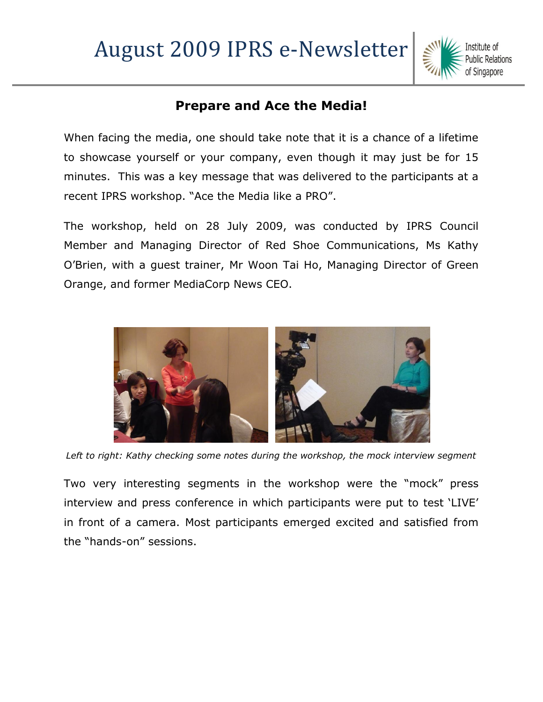

## **Prepare and Ace the Media!**

When facing the media, one should take note that it is a chance of a lifetime to showcase yourself or your company, even though it may just be for 15 minutes. This was a key message that was delivered to the participants at a recent IPRS workshop. "Ace the Media like a PRO".

The workshop, held on 28 July 2009, was conducted by IPRS Council Member and Managing Director of Red Shoe Communications, Ms Kathy O"Brien, with a guest trainer, Mr Woon Tai Ho, Managing Director of Green Orange, and former MediaCorp News CEO.



*Left to right: Kathy checking some notes during the workshop, the mock interview segment*

Two very interesting segments in the workshop were the "mock" press interview and press conference in which participants were put to test "LIVE" in front of a camera. Most participants emerged excited and satisfied from the "hands-on" sessions.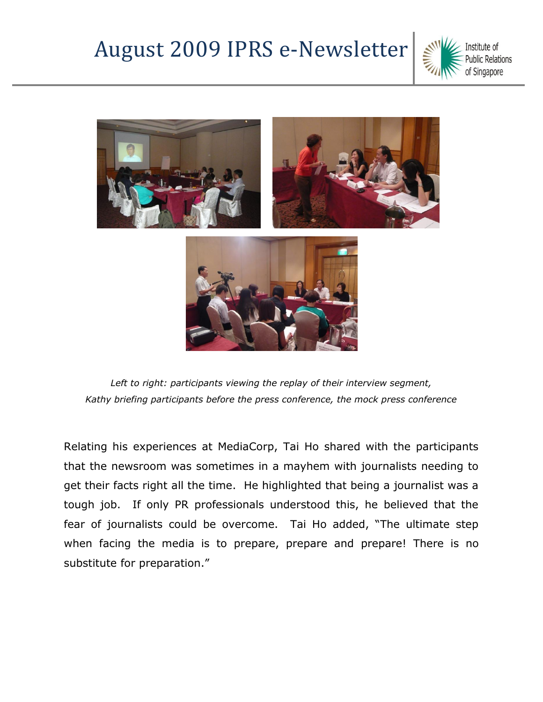## August 2009 IPRS e-Newsletter





*Left to right: participants viewing the replay of their interview segment, Kathy briefing participants before the press conference, the mock press conference*

Relating his experiences at MediaCorp, Tai Ho shared with the participants that the newsroom was sometimes in a mayhem with journalists needing to get their facts right all the time. He highlighted that being a journalist was a tough job. If only PR professionals understood this, he believed that the fear of journalists could be overcome. Tai Ho added, "The ultimate step when facing the media is to prepare, prepare and prepare! There is no substitute for preparation."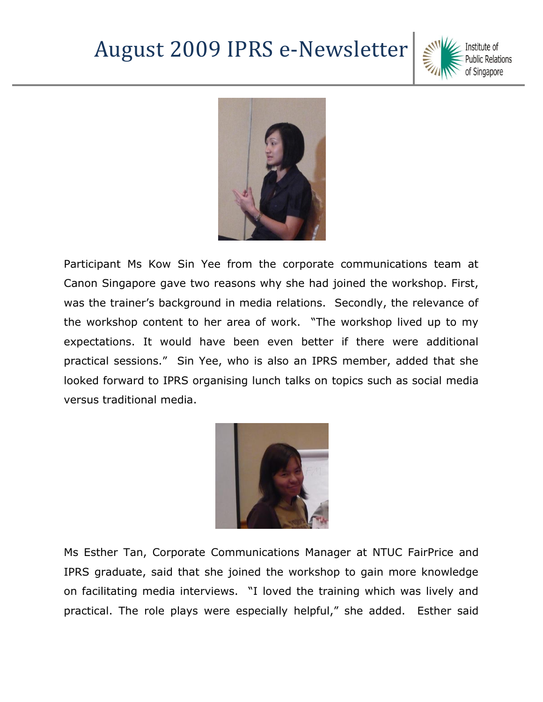## August 2009 IPRS e-Newsletter





Participant Ms Kow Sin Yee from the corporate communications team at Canon Singapore gave two reasons why she had joined the workshop. First, was the trainer's background in media relations. Secondly, the relevance of the workshop content to her area of work. "The workshop lived up to my expectations. It would have been even better if there were additional practical sessions." Sin Yee, who is also an IPRS member, added that she looked forward to IPRS organising lunch talks on topics such as social media versus traditional media.



Ms Esther Tan, Corporate Communications Manager at NTUC FairPrice and IPRS graduate, said that she joined the workshop to gain more knowledge on facilitating media interviews. "I loved the training which was lively and practical. The role plays were especially helpful," she added. Esther said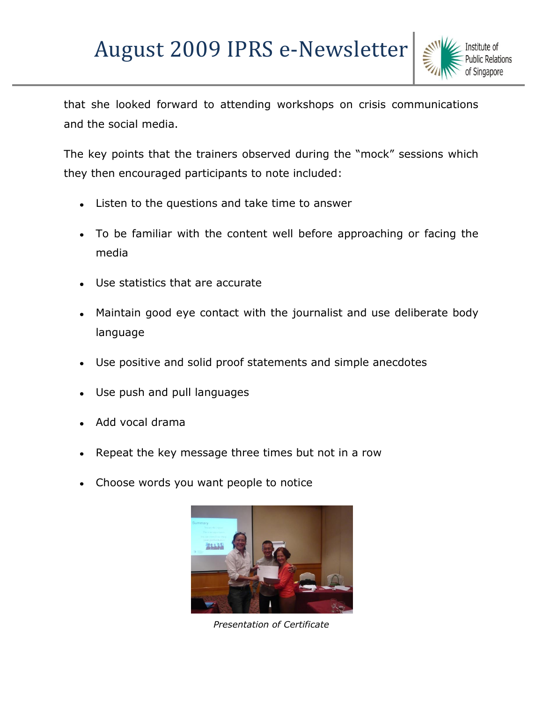## August 2009 IPRS e-Newsletter



that she looked forward to attending workshops on crisis communications and the social media.

The key points that the trainers observed during the "mock" sessions which they then encouraged participants to note included:

- Listen to the questions and take time to answer  $\bullet$
- To be familiar with the content well before approaching or facing the media
- Use statistics that are accurate
- Maintain good eye contact with the journalist and use deliberate body  $\bullet$ language
- Use positive and solid proof statements and simple anecdotes
- Use push and pull languages
- Add vocal drama
- Repeat the key message three times but not in a row
- Choose words you want people to notice



*Presentation of Certificate*